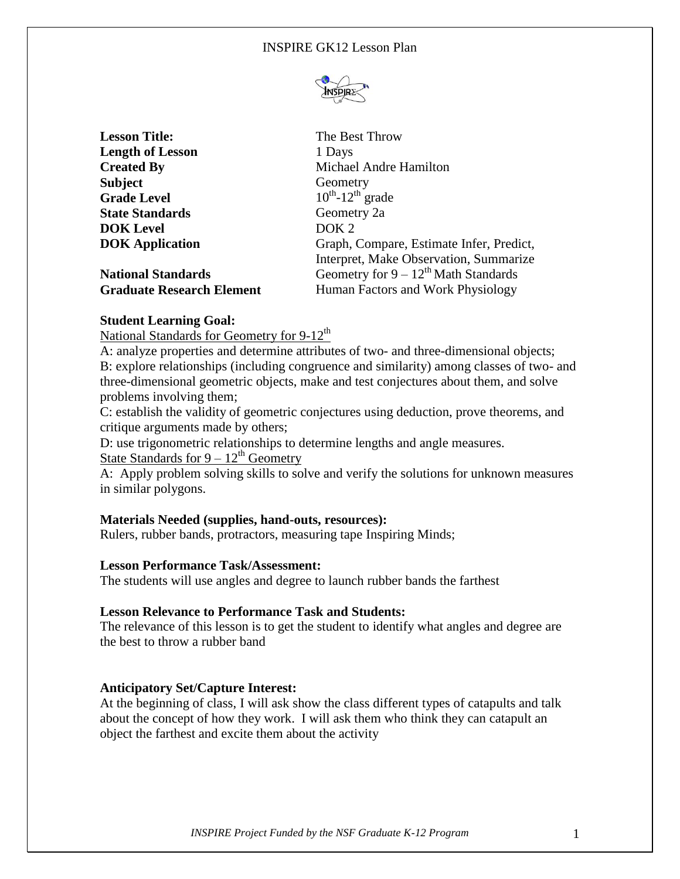

| <b>Lesson Title:</b>      | The Best Throw                    |
|---------------------------|-----------------------------------|
| <b>Length of Lesson</b>   | 1 Days                            |
| <b>Created By</b>         | Michael Andre I                   |
| <b>Subject</b>            | Geometry                          |
| <b>Grade Level</b>        | $10^{th}$ -12 <sup>th</sup> grade |
| <b>State Standards</b>    | Geometry 2a                       |
| <b>DOK</b> Level          | DOK <sub>2</sub>                  |
| <b>DOK</b> Application    | Graph, Compare                    |
|                           | Interpret, Make                   |
| <b>National Standards</b> | Geometry for 9                    |

**ndre Hamilton** ade mpare, Estimate Infer, Predict, **Iake Observation, Summarize** for 9 – 12<sup>th</sup> Math Standards **Graduate Research Element** Human Factors and Work Physiology

### **Student Learning Goal:**

National Standards for Geometry for  $9-12<sup>th</sup>$ 

A: analyze properties and determine attributes of two- and three-dimensional objects; B: explore relationships (including congruence and similarity) among classes of two- and three-dimensional geometric objects, make and test conjectures about them, and solve problems involving them;

C: establish the validity of geometric conjectures using deduction, prove theorems, and critique arguments made by others;

D: use trigonometric relationships to determine lengths and angle measures.

State Standards for  $9 - 12^{th}$  Geometry

A: Apply problem solving skills to solve and verify the solutions for unknown measures in similar polygons.

### **Materials Needed (supplies, hand-outs, resources):**

Rulers, rubber bands, protractors, measuring tape Inspiring Minds;

#### **Lesson Performance Task/Assessment:**

The students will use angles and degree to launch rubber bands the farthest

#### **Lesson Relevance to Performance Task and Students:**

The relevance of this lesson is to get the student to identify what angles and degree are the best to throw a rubber band

### **Anticipatory Set/Capture Interest:**

At the beginning of class, I will ask show the class different types of catapults and talk about the concept of how they work. I will ask them who think they can catapult an object the farthest and excite them about the activity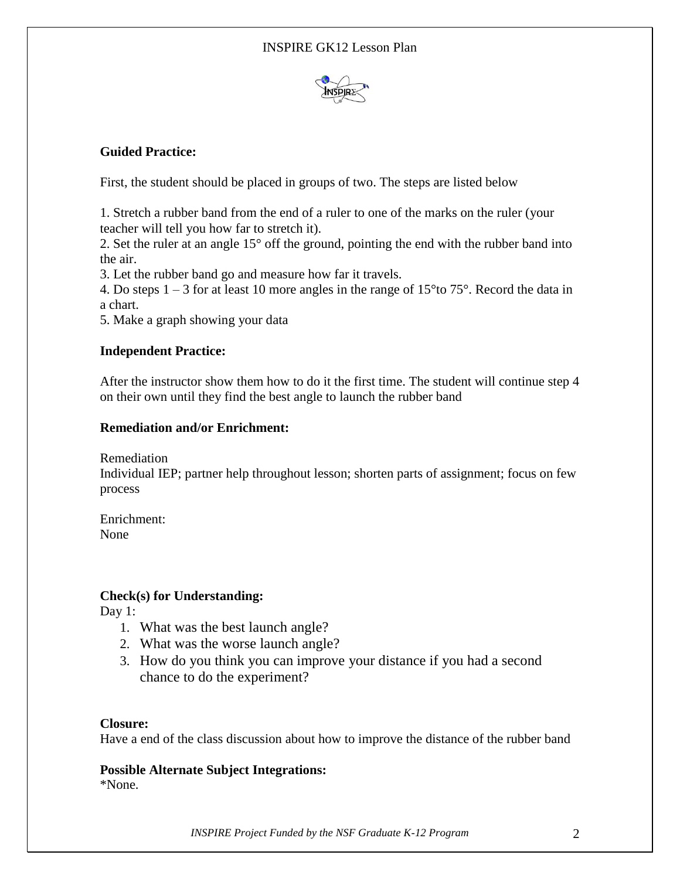

## **Guided Practice:**

First, the student should be placed in groups of two. The steps are listed below

1. Stretch a rubber band from the end of a ruler to one of the marks on the ruler (your teacher will tell you how far to stretch it).

2. Set the ruler at an angle 15° off the ground, pointing the end with the rubber band into the air.

3. Let the rubber band go and measure how far it travels.

4. Do steps  $1 - 3$  for at least 10 more angles in the range of 15<sup>o</sup>to 75<sup>o</sup>. Record the data in a chart.

5. Make a graph showing your data

## **Independent Practice:**

After the instructor show them how to do it the first time. The student will continue step 4 on their own until they find the best angle to launch the rubber band

### **Remediation and/or Enrichment:**

Remediation

Individual IEP; partner help throughout lesson; shorten parts of assignment; focus on few process

Enrichment: None

## **Check(s) for Understanding:**

Day 1:

- 1. What was the best launch angle?
- 2. What was the worse launch angle?
- 3. How do you think you can improve your distance if you had a second chance to do the experiment?

### **Closure:**

Have a end of the class discussion about how to improve the distance of the rubber band

## **Possible Alternate Subject Integrations:**

\*None.